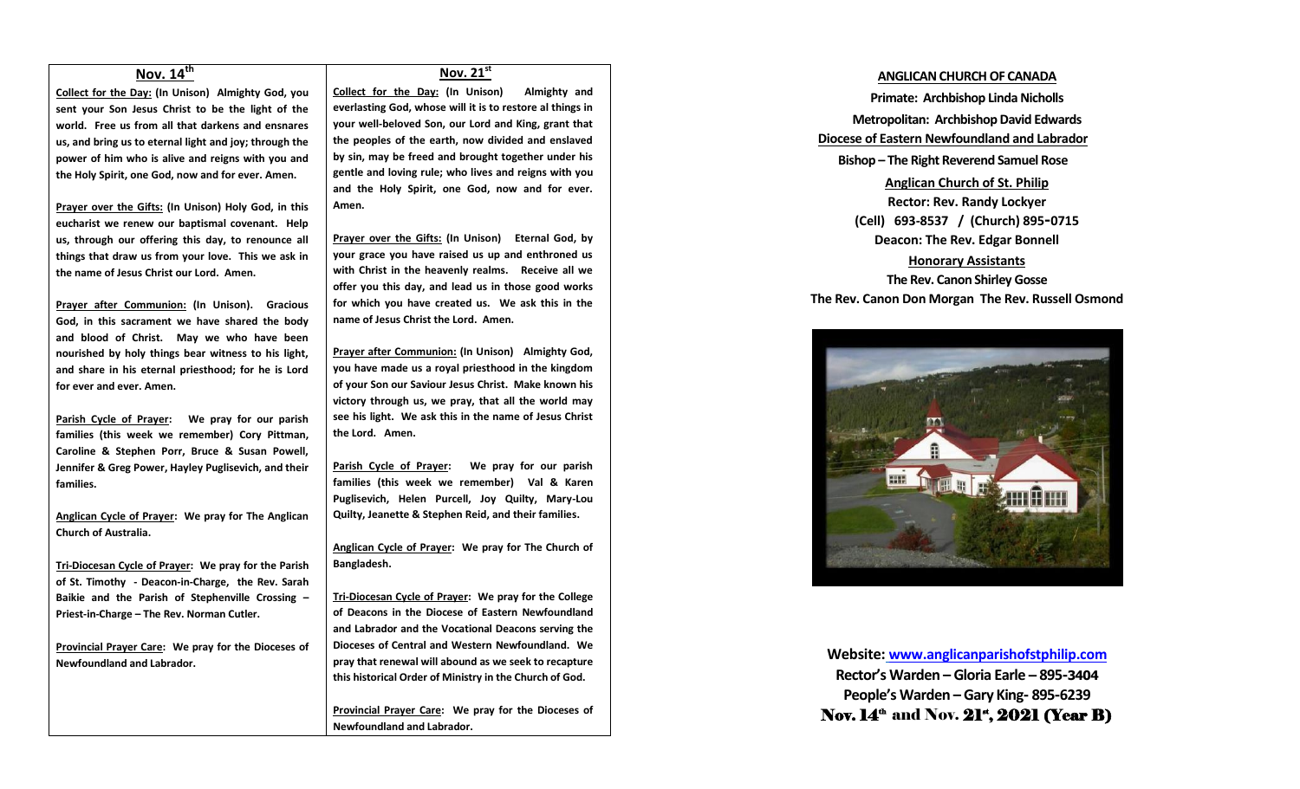### **Nov. 14th**

**Collect for the Day: (In Unison) Almighty God, you sent your Son Jesus Christ to be the light of the world. Free us from all that darkens and ensnares us, and bring us to eternal light and joy; through the power of him who is alive and reigns with you and the Holy Spirit, one God, now and for ever. Amen.**

**Prayer over the Gifts: (In Unison) Holy God, in this eucharist we renew our baptismal covenant. Help us, through our offering this day, to renounce all things that draw us from your love. This we ask in the name of Jesus Christ our Lord. Amen.**

**Prayer after Communion: (In Unison). Gracious God, in this sacrament we have shared the body and blood of Christ. May we who have been nourished by holy things bear witness to his light, and share in his eternal priesthood; for he is Lord for ever and ever. Amen.**

**Parish Cycle of Prayer: We pray for our parish families (this week we remember) Cory Pittman, Caroline & Stephen Porr, Bruce & Susan Powell, Jennifer & Greg Power, Hayley Puglisevich, and their families.**

**Anglican Cycle of Prayer: We pray for The Anglican Church of Australia.**

**Tri-Diocesan Cycle of Prayer: We pray for the Parish of St. Timothy - Deacon-in-Charge, the Rev. Sarah Baikie and the Parish of Stephenville Crossing – Priest-in-Charge – The Rev. Norman Cutler.**

**Provincial Prayer Care: We pray for the Dioceses of Newfoundland and Labrador.**

#### **Nov. 21st**

**Collect for the Day: (In Unison) Almighty and everlasting God, whose will it is to restore al things in your well-beloved Son, our Lord and King, grant that the peoples of the earth, now divided and enslaved by sin, may be freed and brought together under his gentle and loving rule; who lives and reigns with you and the Holy Spirit, one God, now and for ever. Amen.**

**Prayer over the Gifts: (In Unison) Eternal God, by your grace you have raised us up and enthroned us with Christ in the heavenly realms. Receive all we offer you this day, and lead us in those good works for which you have created us. We ask this in the name of Jesus Christ the Lord. Amen.**

**Prayer after Communion: (In Unison) Almighty God, you have made us a royal priesthood in the kingdom of your Son our Saviour Jesus Christ. Make known his victory through us, we pray, that all the world may see his light. We ask this in the name of Jesus Christ the Lord. Amen.**

**Parish Cycle of Prayer: We pray for our parish families (this week we remember) Val & Karen Puglisevich, Helen Purcell, Joy Quilty, Mary-Lou Quilty, Jeanette & Stephen Reid, and their families.**

**Anglican Cycle of Prayer: We pray for The Church of Bangladesh.**

**Tri-Diocesan Cycle of Prayer: We pray for the College of Deacons in the Diocese of Eastern Newfoundland and Labrador and the Vocational Deacons serving the Dioceses of Central and Western Newfoundland. We pray that renewal will abound as we seek to recapture this historical Order of Ministry in the Church of God.**

**Provincial Prayer Care: We pray for the Dioceses of Newfoundland and Labrador.**

#### **ANGLICAN CHURCH OF CANADA**

**Primate: Archbishop Linda Nicholls Metropolitan: Archbishop David Edwards Diocese of Eastern Newfoundland and Labrador Bishop – The Right Reverend Samuel Rose Anglican Church of St. Philip Rector: Rev. Randy Lockyer (Cell) 693-8537 / (Church) 895-0715 Deacon: The Rev. Edgar Bonnell Honorary Assistants The Rev. Canon Shirley Gosse The Rev. Canon Don Morgan The Rev. Russell Osmond**



**Website: [www.anglicanparishofstphilip.com](http://www.anglicanparishofstphilip.com/) Rector's Warden – Gloria Earle – 895-3404 People's Warden – Gary King- 895-6239** Nov.  $14^{\text{th}}$  and Nov.  $21^{\text{st}}$ ,  $2021$  (Year B)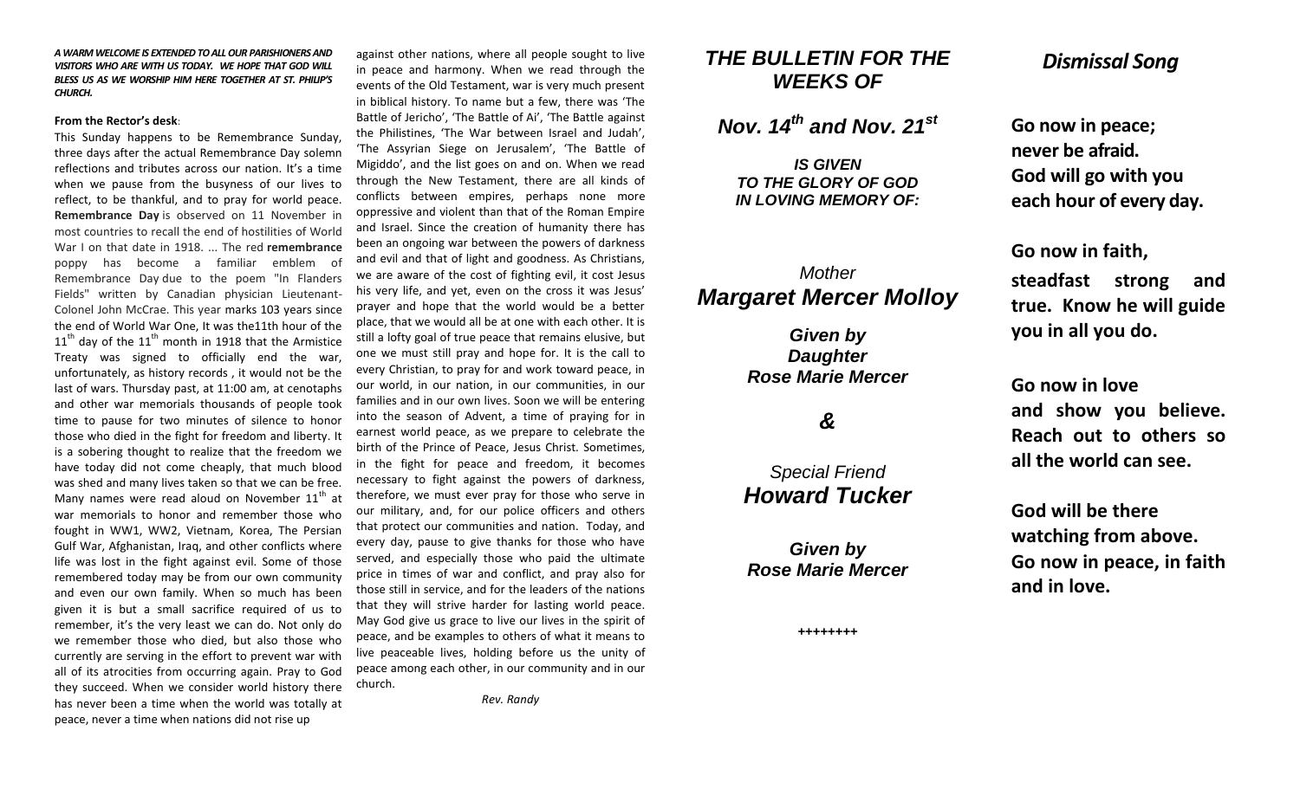*A WARM WELCOME IS EXTENDED TO ALL OUR PARISHIONERS AND VISITORS WHO ARE WITH US TODAY. WE HOPE THAT GOD WILL BLESS US AS WE WORSHIP HIM HERE TOGETHER AT ST. PHILIP'S CHURCH.*

#### **From the Rector's desk**:

This Sunday happens to be Remembrance Sunday, three days after the actual Remembrance Day solemn reflections and tributes across our nation. It's a time when we pause from the busyness of our lives to reflect, to be thankful, and to pray for world peace. **Remembrance Day** is observed on 11 November in most countries to recall the end of hostilities of World War I on that date in 1918. ... The red **remembrance**  poppy has become a familiar emblem of Remembrance Day due to the poem "In Flanders Fields" written by Canadian physician Lieutenant-Colonel John McCrae. This year marks 103 years since the end of World War One, It was the11th hour of the  $11<sup>th</sup>$  day of the  $11<sup>th</sup>$  month in 1918 that the Armistice Treaty was signed to officially end the war, unfortunately, as history records , it would not be the last of wars. Thursday past, at 11:00 am, at cenotaphs and other war memorials thousands of people took time to pause for two minutes of silence to honor those who died in the fight for freedom and liberty. It is a sobering thought to realize that the freedom we have today did not come cheaply, that much blood was shed and many lives taken so that we can be free. Many names were read aloud on November  $11<sup>th</sup>$  at war memorials to honor and remember those who fought in WW1, WW2, Vietnam, Korea, The Persian Gulf War, Afghanistan, Iraq, and other conflicts where life was lost in the fight against evil. Some of those remembered today may be from our own community and even our own family. When so much has been given it is but a small sacrifice required of us to remember, it's the very least we can do. Not only do we remember those who died, but also those who currently are serving in the effort to prevent war with all of its atrocities from occurring again. Pray to God they succeed. When we consider world history there has never been a time when the world was totally at peace, never a time when nations did not rise up

against other nations, where all people sought to live in peace and harmony. When we read through the events of the Old Testament, war is very much present in biblical history. To name but a few, there was 'The Battle of Jericho', 'The Battle of Ai', 'The Battle against the Philistines, 'The War between Israel and Judah', 'The Assyrian Siege on Jerusalem', 'The Battle of Migiddo', and the list goes on and on. When we read through the New Testament, there are all kinds of conflicts between empires, perhaps none more oppressive and violent than that of the Roman Empire and Israel. Since the creation of humanity there has been an ongoing war between the powers of darkness and evil and that of light and goodness. As Christians, we are aware of the cost of fighting evil, it cost Jesus his very life, and yet, even on the cross it was Jesus' prayer and hope that the world would be a better place, that we would all be at one with each other. It is still a lofty goal of true peace that remains elusive, but one we must still pray and hope for. It is the call to every Christian, to pray for and work toward peace, in our world, in our nation, in our communities, in our families and in our own lives. Soon we will be entering into the season of Advent, a time of praying for in earnest world peace, as we prepare to celebrate the birth of the Prince of Peace, Jesus Christ. Sometimes, in the fight for peace and freedom, it becomes necessary to fight against the powers of darkness, therefore, we must ever pray for those who serve in our military, and, for our police officers and others that protect our communities and nation. Today, and every day, pause to give thanks for those who have served, and especially those who paid the ultimate price in times of war and conflict, and pray also for those still in service, and for the leaders of the nations that they will strive harder for lasting world peace. May God give us grace to live our lives in the spirit of peace, and be examples to others of what it means to live peaceable lives, holding before us the unity of peace among each other, in our community and in our church.

 *Rev. Randy*

## *THE BULLETIN FOR THE WEEKS OF*

*Nov. 14th and Nov. 21st*

*IS GIVEN TO THE GLORY OF GOD IN LOVING MEMORY OF:*

# *Mother Margaret Mercer Molloy*

*Given by Daughter Rose Marie Mercer*

# *&*

*Special Friend Howard Tucker*

*Given by Rose Marie Mercer*

*++++++++*

## *Dismissal Song*

**Go now in peace; never be afraid. God will go with you each hour of every day.**

**Go now in faith,** 

**steadfast strong and true. Know he will guide you in all you do.**

**Go now in love and show you believe. Reach out to others so all the world can see.**

**God will be there watching from above. Go now in peace, in faith and in love.**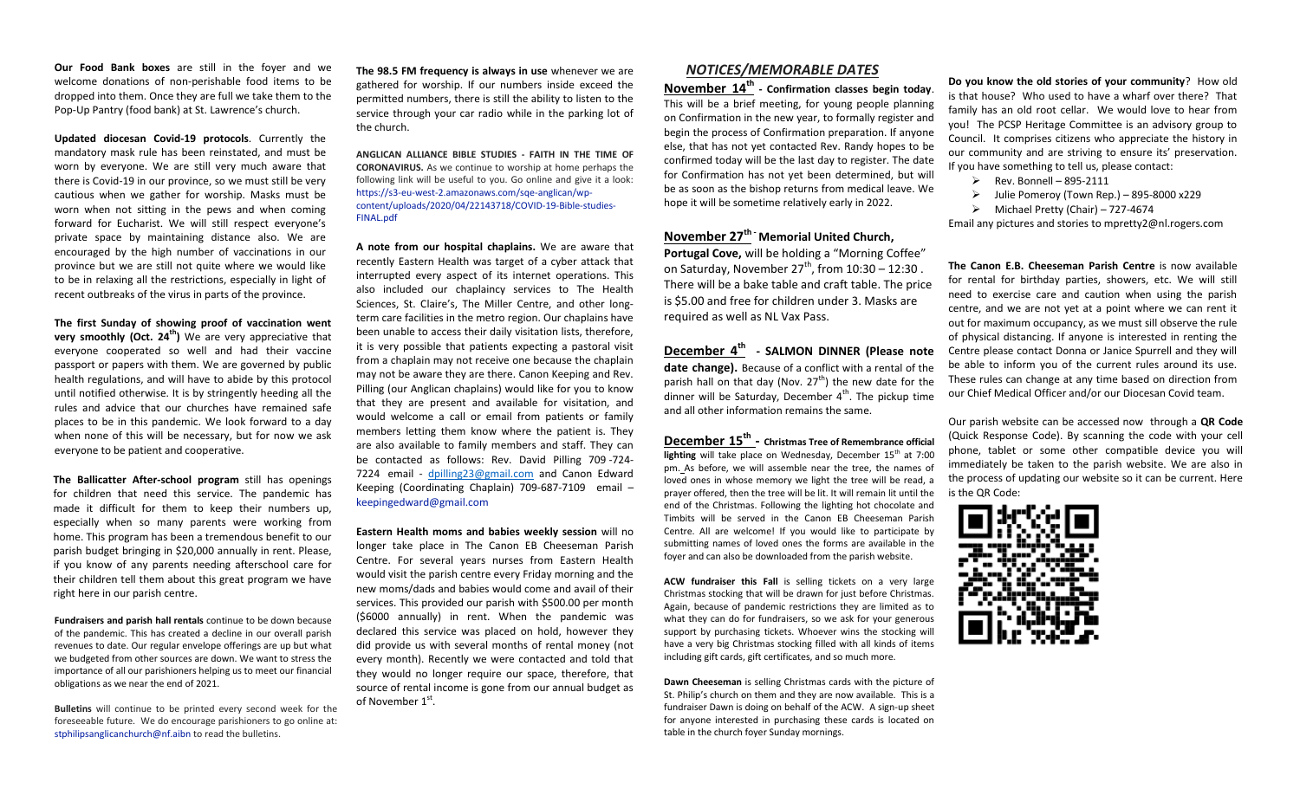**Our Food Bank boxes** are still in the foyer and we welcome donations of non-perishable food items to be dropped into them. Once they are full we take them to the Pop-Up Pantry (food bank) at St. Lawrence's church.

**Updated diocesan Covid-19 protocols**. Currently the mandatory mask rule has been reinstated, and must be worn by everyone. We are still very much aware that there is Covid-19 in our province, so we must still be very cautious when we gather for worship. Masks must be worn when not sitting in the pews and when coming forward for Eucharist. We will still respect everyone's private space by maintaining distance also. We are encouraged by the high number of vaccinations in our province but we are still not quite where we would like to be in relaxing all the restrictions, especially in light of recent outbreaks of the virus in parts of the province.

**The first Sunday of showing proof of vaccination went very smoothly (Oct. 24th)** We are very appreciative that everyone cooperated so well and had their vaccine passport or papers with them. We are governed by public health regulations, and will have to abide by this protocol until notified otherwise. It is by stringently heeding all the rules and advice that our churches have remained safe places to be in this pandemic. We look forward to a day when none of this will be necessary, but for now we ask everyone to be patient and cooperative.

**The Ballicatter After-school program** still has openings for children that need this service. The pandemic has made it difficult for them to keep their numbers up, especially when so many parents were working from home. This program has been a tremendous benefit to our parish budget bringing in \$20,000 annually in rent. Please, if you know of any parents needing afterschool care for their children tell them about this great program we have right here in our parish centre.

**Fundraisers and parish hall rentals** continue to be down because of the pandemic. This has created a decline in our overall parish revenues to date. Our regular envelope offerings are up but what we budgeted from other sources are down. We want to stress the importance of all our parishioners helping us to meet our financial obligations as we near the end of 2021.

**Bulletins** will continue to be printed every second week for the foreseeable future. We do encourage parishioners to go online at: [stphilipsanglicanchurch@nf.aibn](mailto:stphilipsanglicanchurch@nf.aibn) to read the bulletins.

**The 98.5 FM frequency is always in use** whenever we are gathered for worship. If our numbers inside exceed the permitted numbers, there is still the ability to listen to the service through your car radio while in the parking lot of the church.

**ANGLICAN ALLIANCE BIBLE STUDIES - FAITH IN THE TIME OF CORONAVIRUS.** As we continue to worship at home perhaps the following link will be useful to you. Go online and give it a look: [https://s3-eu-west-2.amazonaws.com/sqe-anglican/wp](https://s3-eu-west-2.amazonaws.com/sqe-anglican/wp-content/uploads/2020/04/22143718/COVID-19-Bible-studies-FINAL.pdf)[content/uploads/2020/04/22143718/COVID-19-Bible-studies-](https://s3-eu-west-2.amazonaws.com/sqe-anglican/wp-content/uploads/2020/04/22143718/COVID-19-Bible-studies-FINAL.pdf)[FINAL.pdf](https://s3-eu-west-2.amazonaws.com/sqe-anglican/wp-content/uploads/2020/04/22143718/COVID-19-Bible-studies-FINAL.pdf)

**A note from our hospital chaplains.** We are aware that recently Eastern Health was target of a cyber attack that interrupted every aspect of its internet operations. This also included our chaplaincy services to The Health Sciences, St. Claire's, The Miller Centre, and other longterm care facilities in the metro region. Our chaplains have been unable to access their daily visitation lists, therefore, it is very possible that patients expecting a pastoral visit from a chaplain may not receive one because the chaplain may not be aware they are there. Canon Keeping and Rev. Pilling (our Anglican chaplains) would like for you to know that they are present and available for visitation, and would welcome a call or email from patients or family members letting them know where the patient is. They are also available to family members and staff. They can be contacted as follows: Rev. David Pilling 709 -724- 7224 email - [dpilling23@gmail.com](mailto:dpilling23@gmail.com) and Canon Edward Keeping (Coordinating Chaplain) 709-687-7109 email – [keepingedward@gmail.com](mailto:keepingedward@gmail.com)

**Eastern Health moms and babies weekly session** will no longer take place in The Canon EB Cheeseman Parish Centre. For several years nurses from Eastern Health would visit the parish centre every Friday morning and the new moms/dads and babies would come and avail of their services. This provided our parish with \$500.00 per month (\$6000 annually) in rent. When the pandemic was declared this service was placed on hold, however they did provide us with several months of rental money (not every month). Recently we were contacted and told that they would no longer require our space, therefore, that source of rental income is gone from our annual budget as of November 1st.

## *NOTICES/MEMORABLE DATES*

**November 14th - Confirmation classes begin today**. This will be a brief meeting, for young people planning on Confirmation in the new year, to formally register and begin the process of Confirmation preparation. If anyone else, that has not yet contacted Rev. Randy hopes to be confirmed today will be the last day to register. The date for Confirmation has not yet been determined, but will be as soon as the bishop returns from medical leave. We hope it will be sometime relatively early in 2022.

### **November 27th - Memorial United Church,**

**Portugal Cove,** will be holding a "Morning Coffee" on Saturday, November  $27^{th}$ , from  $10:30 - 12:30$ . There will be a bake table and craft table. The price is \$5.00 and free for children under 3. Masks are required as well as NL Vax Pass.

**December 4th - SALMON DINNER (Please note date change).** Because of a conflict with a rental of the parish hall on that day (Nov.  $27<sup>th</sup>$ ) the new date for the dinner will be Saturday, December  $4<sup>th</sup>$ . The pickup time and all other information remains the same.

**December 15th - Christmas Tree of Remembrance official**  lighting will take place on Wednesday, December 15<sup>th</sup> at 7:00 pm. As before, we will assemble near the tree, the names of loved ones in whose memory we light the tree will be read, a prayer offered, then the tree will be lit. It will remain lit until the end of the Christmas. Following the lighting hot chocolate and Timbits will be served in the Canon EB Cheeseman Parish Centre. All are welcome! If you would like to participate by submitting names of loved ones the forms are available in the foyer and can also be downloaded from the parish website.

**ACW fundraiser this Fall** is selling tickets on a very large Christmas stocking that will be drawn for just before Christmas. Again, because of pandemic restrictions they are limited as to what they can do for fundraisers, so we ask for your generous support by purchasing tickets. Whoever wins the stocking will have a very big Christmas stocking filled with all kinds of items including gift cards, gift certificates, and so much more.

**Dawn Cheeseman** is selling Christmas cards with the picture of St. Philip's church on them and they are now available. This is a fundraiser Dawn is doing on behalf of the ACW. A sign-up sheet for anyone interested in purchasing these cards is located on table in the church foyer Sunday mornings.

**Do you know the old stories of your community**? How old is that house? Who used to have a wharf over there? That family has an old root cellar. We would love to hear from you! The PCSP Heritage Committee is an advisory group to Council. It comprises citizens who appreciate the history in our community and are striving to ensure its' preservation. If you have something to tell us, please contact:

- $\triangleright$  Rev. Bonnell 895-2111
- $\triangleright$  Julie Pomeroy (Town Rep.) 895-8000 x229
- $\triangleright$  Michael Pretty (Chair) 727-4674

Email any pictures and stories to mpretty2@nl.rogers.com

**The Canon E.B. Cheeseman Parish Centre** is now available for rental for birthday parties, showers, etc. We will still need to exercise care and caution when using the parish centre, and we are not yet at a point where we can rent it out for maximum occupancy, as we must sill observe the rule of physical distancing. If anyone is interested in renting the Centre please contact Donna or Janice Spurrell and they will be able to inform you of the current rules around its use. These rules can change at any time based on direction from our Chief Medical Officer and/or our Diocesan Covid team.

Our parish website can be accessed now through a **QR Code**  (Quick Response Code). By scanning the code with your cell phone, tablet or some other compatible device you will immediately be taken to the parish website. We are also in the process of updating our website so it can be current. Here is the QR Code: